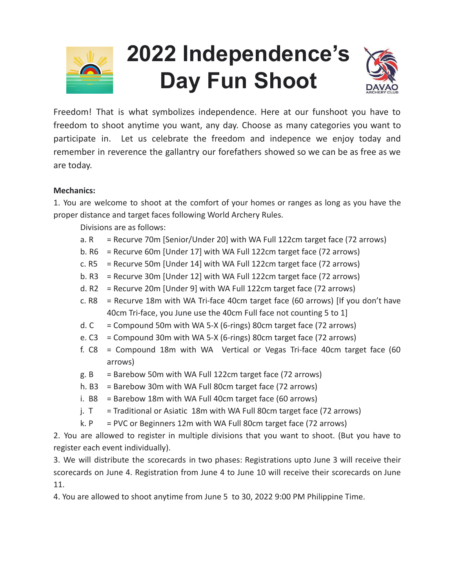

# **2022 Independence's Day Fun Shoot**



Freedom! That is what symbolizes independence. Here at our funshoot you have to freedom to shoot anytime you want, any day. Choose as many categories you want to participate in. Let us celebrate the freedom and indepence we enjoy today and remember in reverence the gallantry our forefathers showed so we can be as free as we are today.

### **Mechanics:**

1. You are welcome to shoot at the comfort of your homes or ranges as long as you have the proper distance and target faces following World Archery Rules.

Divisions are as follows:

- a. R = Recurve 70m [Senior/Under 20] with WA Full 122cm target face (72 arrows)
- b.  $R6$  = Recurve 60m [Under 17] with WA Full 122cm target face (72 arrows)
- c. R5 = Recurve 50m [Under 14] with WA Full 122cm target face (72 arrows)
- b. R3 = Recurve 30m [Under 12] with WA Full 122cm target face (72 arrows)
- d. R2 = Recurve 20m [Under 9] with WA Full 122cm target face (72 arrows)
- c. R8 = Recurve 18m with WA Tri-face 40cm target face (60 arrows) [If you don't have 40cm Tri-face, you June use the 40cm Full face not counting 5 to 1]
- d.  $C =$  Compound 50m with WA 5-X (6-rings) 80cm target face (72 arrows)
- e. C3 = Compound 30m with WA 5-X (6-rings) 80cm target face (72 arrows)
- f. C8 = Compound 18m with WA Vertical or Vegas Tri-face 40cm target face (60 arrows)
- g.  $B =$  Barebow 50m with WA Full 122cm target face (72 arrows)
- h. B3 = Barebow 30m with WA Full 80cm target face  $(72 \text{ arrows})$
- i. B8 = Barebow 18m with WA Full 40cm target face (60 arrows)
- j.  $T =$  Traditional or Asiatic 18m with WA Full 80cm target face (72 arrows)
- k.  $P = PVC$  or Beginners 12m with WA Full 80cm target face (72 arrows)

2. You are allowed to register in multiple divisions that you want to shoot. (But you have to register each event individually).

3. We will distribute the scorecards in two phases: Registrations upto June 3 will receive their scorecards on June 4. Registration from June 4 to June 10 will receive their scorecards on June 11.

4. You are allowed to shoot anytime from June 5 to 30, 2022 9:00 PM Philippine Time.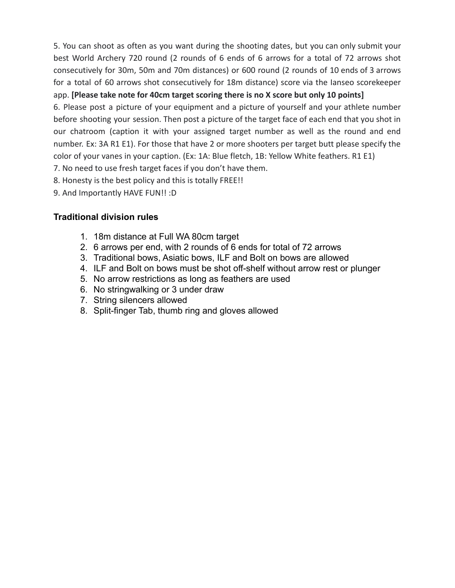5. You can shoot as often as you want during the shooting dates, but you can only submit your best World Archery 720 round (2 rounds of 6 ends of 6 arrows for a total of 72 arrows shot consecutively for 30m, 50m and 70m distances) or 600 round (2 rounds of 10 ends of 3 arrows for a total of 60 arrows shot consecutively for 18m distance) score via the Ianseo scorekeeper

## app. **[Please take note for 40cm target scoring there is no X score but only 10 points]**

6. Please post a picture of your equipment and a picture of yourself and your athlete number before shooting your session. Then post a picture of the target face of each end that you shot in our chatroom (caption it with your assigned target number as well as the round and end number. Ex: 3A R1 E1). For those that have 2 or more shooters per target butt please specify the color of your vanes in your caption. (Ex: 1A: Blue fletch, 1B: Yellow White feathers. R1 E1)

- 7. No need to use fresh target faces if you don't have them.
- 8. Honesty is the best policy and this is totally FREE!!
- 9. And Importantly HAVE FUN!! :D

## **Traditional division rules**

- 1. 18m distance at Full WA 80cm target
- 2. 6 arrows per end, with 2 rounds of 6 ends for total of 72 arrows
- 3. Traditional bows, Asiatic bows, ILF and Bolt on bows are allowed
- 4. ILF and Bolt on bows must be shot off-shelf without arrow rest or plunger
- 5. No arrow restrictions as long as feathers are used
- 6. No stringwalking or 3 under draw
- 7. String silencers allowed
- 8. Split-finger Tab, thumb ring and gloves allowed